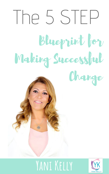# **Yani Kelly**



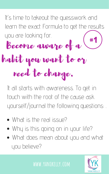It' s time to takeout the guesswork and learn the exact Formula to get the results you are looking for. Become aware of a habit you want to or need to change. #1

It all starts with awareness. To get in

touch with the root of the cause ask yourself/journal the following questions: .

- What is the real issue?
- Why is this going on in your life?
- What does mean about you and what you believe?

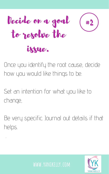

Once you identify the root cause, decide how you would like things to be.

Set an intention for what you like to

change,

# Be very specific. Journal out details if that helps.

.



# issue.



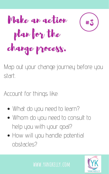Make an action plan for the change process.

Map out your change journey before you start.

#### Account for things like:



- What do you need to learn?
- Whom do you need to consult to help you with your goal?
- How will you handle potential obstacles?

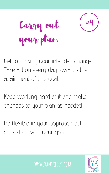Carry out your plan.

Get to making your intended change. Take action every day towards the attainment of this goal.

Keep working hard at it and make changes to your plan as needed.

## Be flexible in your approach but consistent with your goal.